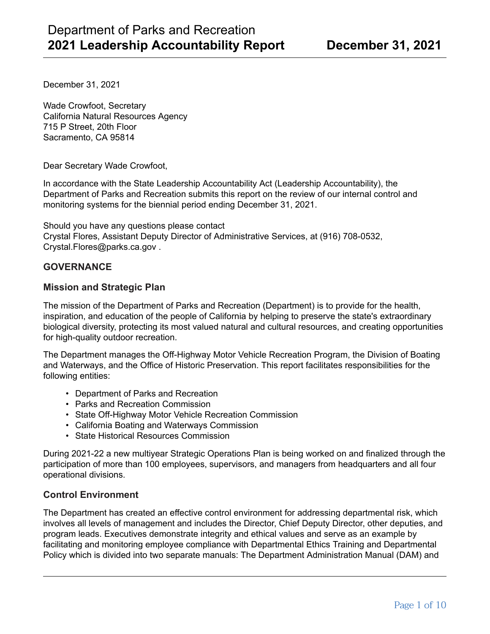December 31, 2021

Wade Crowfoot, Secretary California Natural Resources Agency 715 P Street, 20th Floor Sacramento, CA 95814

Dear Secretary Wade Crowfoot,

In accordance with the State Leadership Accountability Act (Leadership Accountability), the Department of Parks and Recreation submits this report on the review of our internal control and monitoring systems for the biennial period ending December 31, 2021.

Should you have any questions please contact Crystal Flores, Assistant Deputy Director of Administrative Services, at (916) 708-0532, Crystal.Flores@parks.ca.gov .

### **GOVERNANCE**

### **Mission and Strategic Plan**

The mission of the Department of Parks and Recreation (Department) is to provide for the health, inspiration, and education of the people of California by helping to preserve the state's extraordinary biological diversity, protecting its most valued natural and cultural resources, and creating opportunities for high-quality outdoor recreation.

The Department manages the Off-Highway Motor Vehicle Recreation Program, the Division of Boating and Waterways, and the Office of Historic Preservation. This report facilitates responsibilities for the following entities:

- Department of Parks and Recreation
- Parks and Recreation Commission
- State Off-Highway Motor Vehicle Recreation Commission
- California Boating and Waterways Commission
- State Historical Resources Commission

During 2021-22 a new multiyear Strategic Operations Plan is being worked on and finalized through the participation of more than 100 employees, supervisors, and managers from headquarters and all four operational divisions.

### **Control Environment**

The Department has created an effective control environment for addressing departmental risk, which involves all levels of management and includes the Director, Chief Deputy Director, other deputies, and program leads. Executives demonstrate integrity and ethical values and serve as an example by facilitating and monitoring employee compliance with Departmental Ethics Training and Departmental Policy which is divided into two separate manuals: The Department Administration Manual (DAM) and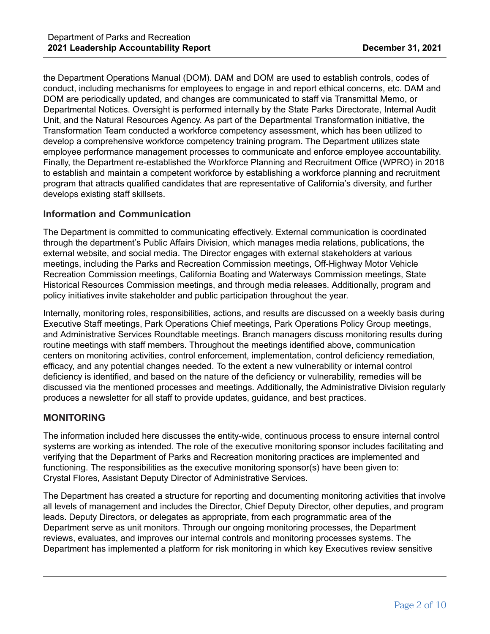the Department Operations Manual (DOM). DAM and DOM are used to establish controls, codes of conduct, including mechanisms for employees to engage in and report ethical concerns, etc. DAM and DOM are periodically updated, and changes are communicated to staff via Transmittal Memo, or Departmental Notices. Oversight is performed internally by the State Parks Directorate, Internal Audit Unit, and the Natural Resources Agency. As part of the Departmental Transformation initiative, the Transformation Team conducted a workforce competency assessment, which has been utilized to develop a comprehensive workforce competency training program. The Department utilizes state employee performance management processes to communicate and enforce employee accountability. Finally, the Department re-established the Workforce Planning and Recruitment Office (WPRO) in 2018 to establish and maintain a competent workforce by establishing a workforce planning and recruitment program that attracts qualified candidates that are representative of California's diversity, and further develops existing staff skillsets.

### **Information and Communication**

The Department is committed to communicating effectively. External communication is coordinated through the department's Public Affairs Division, which manages media relations, publications, the external website, and social media. The Director engages with external stakeholders at various meetings, including the Parks and Recreation Commission meetings, Off-Highway Motor Vehicle Recreation Commission meetings, California Boating and Waterways Commission meetings, State Historical Resources Commission meetings, and through media releases. Additionally, program and policy initiatives invite stakeholder and public participation throughout the year.

Internally, monitoring roles, responsibilities, actions, and results are discussed on a weekly basis during Executive Staff meetings, Park Operations Chief meetings, Park Operations Policy Group meetings, and Administrative Services Roundtable meetings. Branch managers discuss monitoring results during routine meetings with staff members. Throughout the meetings identified above, communication centers on monitoring activities, control enforcement, implementation, control deficiency remediation, efficacy, and any potential changes needed. To the extent a new vulnerability or internal control deficiency is identified, and based on the nature of the deficiency or vulnerability, remedies will be discussed via the mentioned processes and meetings. Additionally, the Administrative Division regularly produces a newsletter for all staff to provide updates, guidance, and best practices.

### **MONITORING**

The information included here discusses the entity-wide, continuous process to ensure internal control systems are working as intended. The role of the executive monitoring sponsor includes facilitating and verifying that the Department of Parks and Recreation monitoring practices are implemented and functioning. The responsibilities as the executive monitoring sponsor(s) have been given to: Crystal Flores, Assistant Deputy Director of Administrative Services.

The Department has created a structure for reporting and documenting monitoring activities that involve all levels of management and includes the Director, Chief Deputy Director, other deputies, and program leads. Deputy Directors, or delegates as appropriate, from each programmatic area of the Department serve as unit monitors. Through our ongoing monitoring processes, the Department reviews, evaluates, and improves our internal controls and monitoring processes systems. The Department has implemented a platform for risk monitoring in which key Executives review sensitive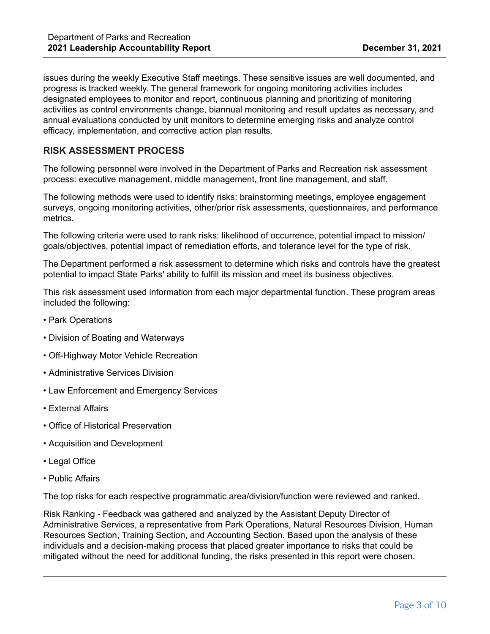issues during the weekly Executive Staff meetings. These sensitive issues are well documented, and progress is tracked weekly. The general framework for ongoing monitoring activities includes designated employees to monitor and report, continuous planning and prioritizing of monitoring activities as control environments change, biannual monitoring and result updates as necessary, and annual evaluations conducted by unit monitors to determine emerging risks and analyze control efficacy, implementation, and corrective action plan results.

# **RISK ASSESSMENT PROCESS**

The following personnel were involved in the Department of Parks and Recreation risk assessment process: executive management, middle management, front line management, and staff.

The following methods were used to identify risks: brainstorming meetings, employee engagement surveys, ongoing monitoring activities, other/prior risk assessments, questionnaires, and performance metrics.

The following criteria were used to rank risks: likelihood of occurrence, potential impact to mission/ goals/objectives, potential impact of remediation efforts, and tolerance level for the type of risk.

The Department performed a risk assessment to determine which risks and controls have the greatest potential to impact State Parks' ability to fulfill its mission and meet its business objectives.

This risk assessment used information from each major departmental function. These program areas included the following:

- Park Operations
- Division of Boating and Waterways
- Off-Highway Motor Vehicle Recreation
- Administrative Services Division
- Law Enforcement and Emergency Services
- External Affairs
- Office of Historical Preservation
- Acquisition and Development
- Legal Office
- Public Affairs

The top risks for each respective programmatic area/division/function were reviewed and ranked.

Risk Ranking - Feedback was gathered and analyzed by the Assistant Deputy Director of Administrative Services, a representative from Park Operations, Natural Resources Division, Human Resources Section, Training Section, and Accounting Section. Based upon the analysis of these individuals and a decision-making process that placed greater importance to risks that could be mitigated without the need for additional funding, the risks presented in this report were chosen.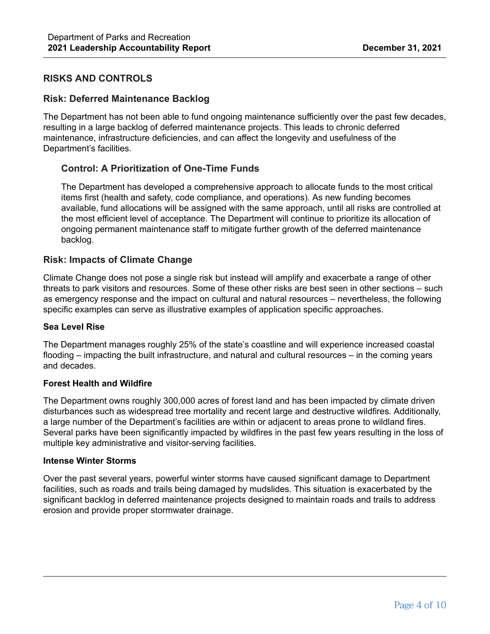# **RISKS AND CONTROLS**

### **Risk: Deferred Maintenance Backlog**

The Department has not been able to fund ongoing maintenance sufficiently over the past few decades, resulting in a large backlog of deferred maintenance projects. This leads to chronic deferred maintenance, infrastructure deficiencies, and can affect the longevity and usefulness of the Department's facilities.

### **Control: A Prioritization of One-Time Funds**

The Department has developed a comprehensive approach to allocate funds to the most critical items first (health and safety, code compliance, and operations). As new funding becomes available, fund allocations will be assigned with the same approach, until all risks are controlled at the most efficient level of acceptance. The Department will continue to prioritize its allocation of ongoing permanent maintenance staff to mitigate further growth of the deferred maintenance backlog.

### **Risk: Impacts of Climate Change**

Climate Change does not pose a single risk but instead will amplify and exacerbate a range of other threats to park visitors and resources. Some of these other risks are best seen in other sections – such as emergency response and the impact on cultural and natural resources – nevertheless, the following specific examples can serve as illustrative examples of application specific approaches.

#### **Sea Level Rise**

The Department manages roughly 25% of the state's coastline and will experience increased coastal flooding – impacting the built infrastructure, and natural and cultural resources – in the coming years and decades.

#### **Forest Health and Wildfire**

The Department owns roughly 300,000 acres of forest land and has been impacted by climate driven disturbances such as widespread tree mortality and recent large and destructive wildfires. Additionally, a large number of the Department's facilities are within or adjacent to areas prone to wildland fires. Several parks have been significantly impacted by wildfires in the past few years resulting in the loss of multiple key administrative and visitor-serving facilities.

#### **Intense Winter Storms**

Over the past several years, powerful winter storms have caused significant damage to Department facilities, such as roads and trails being damaged by mudslides. This situation is exacerbated by the significant backlog in deferred maintenance projects designed to maintain roads and trails to address erosion and provide proper stormwater drainage.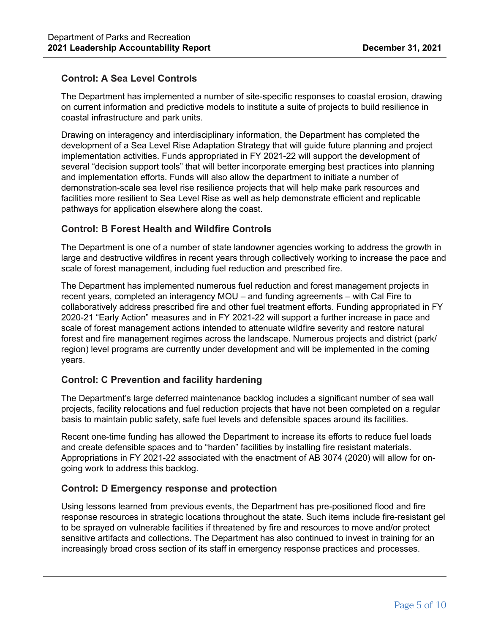# **Control: A Sea Level Controls**

The Department has implemented a number of site-specific responses to coastal erosion, drawing on current information and predictive models to institute a suite of projects to build resilience in coastal infrastructure and park units.

Drawing on interagency and interdisciplinary information, the Department has completed the development of a Sea Level Rise Adaptation Strategy that will guide future planning and project implementation activities. Funds appropriated in FY 2021-22 will support the development of several "decision support tools" that will better incorporate emerging best practices into planning and implementation efforts. Funds will also allow the department to initiate a number of demonstration-scale sea level rise resilience projects that will help make park resources and facilities more resilient to Sea Level Rise as well as help demonstrate efficient and replicable pathways for application elsewhere along the coast.

# **Control: B Forest Health and Wildfire Controls**

The Department is one of a number of state landowner agencies working to address the growth in large and destructive wildfires in recent years through collectively working to increase the pace and scale of forest management, including fuel reduction and prescribed fire.

The Department has implemented numerous fuel reduction and forest management projects in recent years, completed an interagency MOU – and funding agreements – with Cal Fire to collaboratively address prescribed fire and other fuel treatment efforts. Funding appropriated in FY 2020-21 "Early Action" measures and in FY 2021-22 will support a further increase in pace and scale of forest management actions intended to attenuate wildfire severity and restore natural forest and fire management regimes across the landscape. Numerous projects and district (park/ region) level programs are currently under development and will be implemented in the coming years.

# **Control: C Prevention and facility hardening**

The Department's large deferred maintenance backlog includes a significant number of sea wall projects, facility relocations and fuel reduction projects that have not been completed on a regular basis to maintain public safety, safe fuel levels and defensible spaces around its facilities.

Recent one-time funding has allowed the Department to increase its efforts to reduce fuel loads and create defensible spaces and to "harden" facilities by installing fire resistant materials. Appropriations in FY 2021-22 associated with the enactment of AB 3074 (2020) will allow for ongoing work to address this backlog.

### **Control: D Emergency response and protection**

Using lessons learned from previous events, the Department has pre-positioned flood and fire response resources in strategic locations throughout the state. Such items include fire-resistant gel to be sprayed on vulnerable facilities if threatened by fire and resources to move and/or protect sensitive artifacts and collections. The Department has also continued to invest in training for an increasingly broad cross section of its staff in emergency response practices and processes.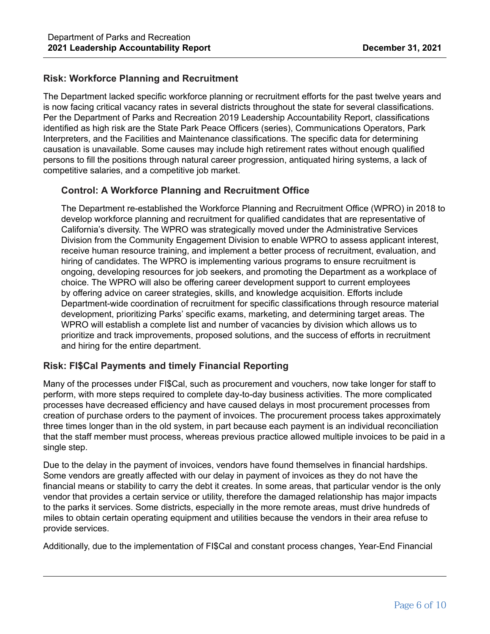# **Risk: Workforce Planning and Recruitment**

The Department lacked specific workforce planning or recruitment efforts for the past twelve years and is now facing critical vacancy rates in several districts throughout the state for several classifications. Per the Department of Parks and Recreation 2019 Leadership Accountability Report, classifications identified as high risk are the State Park Peace Officers (series), Communications Operators, Park Interpreters, and the Facilities and Maintenance classifications. The specific data for determining causation is unavailable. Some causes may include high retirement rates without enough qualified persons to fill the positions through natural career progression, antiquated hiring systems, a lack of competitive salaries, and a competitive job market.

### **Control: A Workforce Planning and Recruitment Office**

The Department re-established the Workforce Planning and Recruitment Office (WPRO) in 2018 to develop workforce planning and recruitment for qualified candidates that are representative of California's diversity. The WPRO was strategically moved under the Administrative Services Division from the Community Engagement Division to enable WPRO to assess applicant interest, receive human resource training, and implement a better process of recruitment, evaluation, and hiring of candidates. The WPRO is implementing various programs to ensure recruitment is ongoing, developing resources for job seekers, and promoting the Department as a workplace of choice. The WPRO will also be offering career development support to current employees by offering advice on career strategies, skills, and knowledge acquisition. Efforts include Department-wide coordination of recruitment for specific classifications through resource material development, prioritizing Parks' specific exams, marketing, and determining target areas. The WPRO will establish a complete list and number of vacancies by division which allows us to prioritize and track improvements, proposed solutions, and the success of efforts in recruitment and hiring for the entire department.

# **Risk: FI\$Cal Payments and timely Financial Reporting**

Many of the processes under FI\$Cal, such as procurement and vouchers, now take longer for staff to perform, with more steps required to complete day-to-day business activities. The more complicated processes have decreased efficiency and have caused delays in most procurement processes from creation of purchase orders to the payment of invoices. The procurement process takes approximately three times longer than in the old system, in part because each payment is an individual reconciliation that the staff member must process, whereas previous practice allowed multiple invoices to be paid in a single step.

Due to the delay in the payment of invoices, vendors have found themselves in financial hardships. Some vendors are greatly affected with our delay in payment of invoices as they do not have the financial means or stability to carry the debt it creates. In some areas, that particular vendor is the only vendor that provides a certain service or utility, therefore the damaged relationship has major impacts to the parks it services. Some districts, especially in the more remote areas, must drive hundreds of miles to obtain certain operating equipment and utilities because the vendors in their area refuse to provide services.

Additionally, due to the implementation of FI\$Cal and constant process changes, Year-End Financial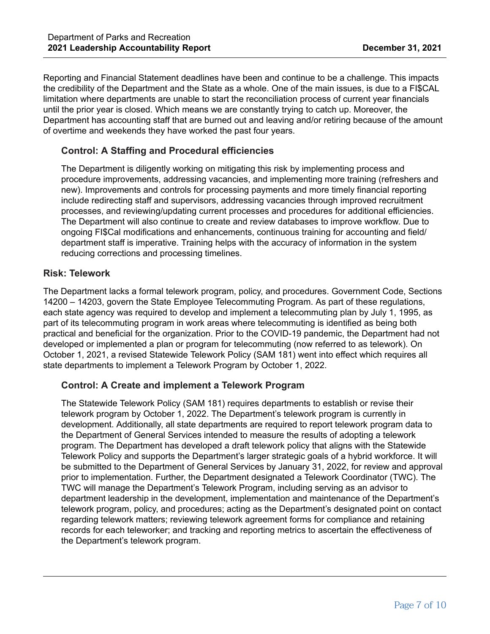Reporting and Financial Statement deadlines have been and continue to be a challenge. This impacts the credibility of the Department and the State as a whole. One of the main issues, is due to a FI\$CAL limitation where departments are unable to start the reconciliation process of current year financials until the prior year is closed. Which means we are constantly trying to catch up. Moreover, the Department has accounting staff that are burned out and leaving and/or retiring because of the amount of overtime and weekends they have worked the past four years.

# **Control: A Staffing and Procedural efficiencies**

The Department is diligently working on mitigating this risk by implementing process and procedure improvements, addressing vacancies, and implementing more training (refreshers and new). Improvements and controls for processing payments and more timely financial reporting include redirecting staff and supervisors, addressing vacancies through improved recruitment processes, and reviewing/updating current processes and procedures for additional efficiencies. The Department will also continue to create and review databases to improve workflow. Due to ongoing FI\$Cal modifications and enhancements, continuous training for accounting and field/ department staff is imperative. Training helps with the accuracy of information in the system reducing corrections and processing timelines.

### **Risk: Telework**

The Department lacks a formal telework program, policy, and procedures. Government Code, Sections 14200 – 14203, govern the State Employee Telecommuting Program. As part of these regulations, each state agency was required to develop and implement a telecommuting plan by July 1, 1995, as part of its telecommuting program in work areas where telecommuting is identified as being both practical and beneficial for the organization. Prior to the COVID-19 pandemic, the Department had not developed or implemented a plan or program for telecommuting (now referred to as telework). On October 1, 2021, a revised Statewide Telework Policy (SAM 181) went into effect which requires all state departments to implement a Telework Program by October 1, 2022.

### **Control: A Create and implement a Telework Program**

The Statewide Telework Policy (SAM 181) requires departments to establish or revise their telework program by October 1, 2022. The Department's telework program is currently in development. Additionally, all state departments are required to report telework program data to the Department of General Services intended to measure the results of adopting a telework program. The Department has developed a draft telework policy that aligns with the Statewide Telework Policy and supports the Department's larger strategic goals of a hybrid workforce. It will be submitted to the Department of General Services by January 31, 2022, for review and approval prior to implementation. Further, the Department designated a Telework Coordinator (TWC). The TWC will manage the Department's Telework Program, including serving as an advisor to department leadership in the development, implementation and maintenance of the Department's telework program, policy, and procedures; acting as the Department's designated point on contact regarding telework matters; reviewing telework agreement forms for compliance and retaining records for each teleworker; and tracking and reporting metrics to ascertain the effectiveness of the Department's telework program.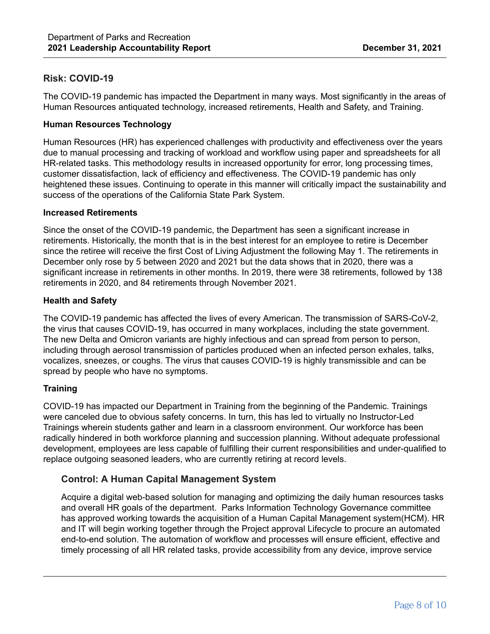# **Risk: COVID-19**

The COVID-19 pandemic has impacted the Department in many ways. Most significantly in the areas of Human Resources antiquated technology, increased retirements, Health and Safety, and Training.

### **Human Resources Technology**

Human Resources (HR) has experienced challenges with productivity and effectiveness over the years due to manual processing and tracking of workload and workflow using paper and spreadsheets for all HR-related tasks. This methodology results in increased opportunity for error, long processing times, customer dissatisfaction, lack of efficiency and effectiveness. The COVID-19 pandemic has only heightened these issues. Continuing to operate in this manner will critically impact the sustainability and success of the operations of the California State Park System.

#### **Increased Retirements**

Since the onset of the COVID-19 pandemic, the Department has seen a significant increase in retirements. Historically, the month that is in the best interest for an employee to retire is December since the retiree will receive the first Cost of Living Adjustment the following May 1. The retirements in December only rose by 5 between 2020 and 2021 but the data shows that in 2020, there was a significant increase in retirements in other months. In 2019, there were 38 retirements, followed by 138 retirements in 2020, and 84 retirements through November 2021.

#### **Health and Safety**

The COVID-19 pandemic has affected the lives of every American. The transmission of SARS-CoV-2, the virus that causes COVID-19, has occurred in many workplaces, including the state government. The new Delta and Omicron variants are highly infectious and can spread from person to person, including through aerosol transmission of particles produced when an infected person exhales, talks, vocalizes, sneezes, or coughs. The virus that causes COVID-19 is highly transmissible and can be spread by people who have no symptoms.

### **Training**

COVID-19 has impacted our Department in Training from the beginning of the Pandemic. Trainings were canceled due to obvious safety concerns. In turn, this has led to virtually no Instructor-Led Trainings wherein students gather and learn in a classroom environment. Our workforce has been radically hindered in both workforce planning and succession planning. Without adequate professional development, employees are less capable of fulfilling their current responsibilities and under-qualified to replace outgoing seasoned leaders, who are currently retiring at record levels.

### **Control: A Human Capital Management System**

Acquire a digital web-based solution for managing and optimizing the daily human resources tasks and overall HR goals of the department. Parks Information Technology Governance committee has approved working towards the acquisition of a Human Capital Management system(HCM). HR and IT will begin working together through the Project approval Lifecycle to procure an automated end-to-end solution. The automation of workflow and processes will ensure efficient, effective and timely processing of all HR related tasks, provide accessibility from any device, improve service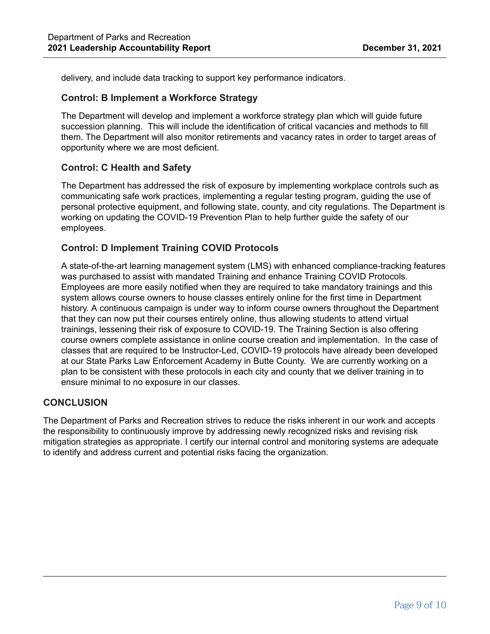delivery, and include data tracking to support key performance indicators.

#### **Control: B Implement a Workforce Strategy**

The Department will develop and implement a workforce strategy plan which will guide future succession planning. This will include the identification of critical vacancies and methods to fill them. The Department will also monitor retirements and vacancy rates in order to target areas of opportunity where we are most deficient.

### **Control: C Health and Safety**

The Department has addressed the risk of exposure by implementing workplace controls such as communicating safe work practices, implementing a regular testing program, guiding the use of personal protective equipment, and following state, county, and city regulations. The Department is working on updating the COVID-19 Prevention Plan to help further guide the safety of our employees.

### **Control: D Implement Training COVID Protocols**

A state-of-the-art learning management system (LMS) with enhanced compliance-tracking features was purchased to assist with mandated Training and enhance Training COVID Protocols. Employees are more easily notified when they are required to take mandatory trainings and this system allows course owners to house classes entirely online for the first time in Department history. A continuous campaign is under way to inform course owners throughout the Department that they can now put their courses entirely online, thus allowing students to attend virtual trainings, lessening their risk of exposure to COVID-19. The Training Section is also offering course owners complete assistance in online course creation and implementation. In the case of classes that are required to be Instructor-Led, COVID-19 protocols have already been developed at our State Parks Law Enforcement Academy in Butte County. We are currently working on a plan to be consistent with these protocols in each city and county that we deliver training in to ensure minimal to no exposure in our classes.

### **CONCLUSION**

The Department of Parks and Recreation strives to reduce the risks inherent in our work and accepts the responsibility to continuously improve by addressing newly recognized risks and revising risk mitigation strategies as appropriate. I certify our internal control and monitoring systems are adequate to identify and address current and potential risks facing the organization.